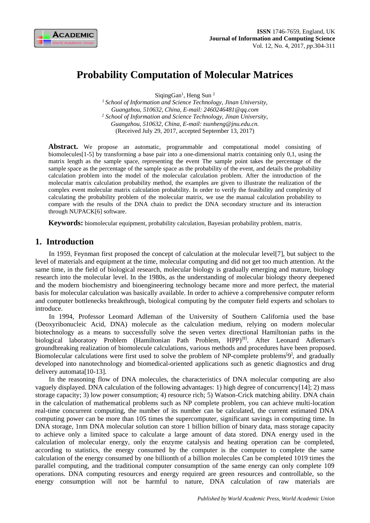

# **Probability Computation of Molecular Matrices**

SiqingGan<sup>1</sup>, Heng Sun<sup>2</sup>

*<sup>1</sup>School of Information and Science Technology, Jinan University, Guangzhou, 510632, China, E-mail: 2460246481@qq.com <sup>2</sup> School of Information and Science Technology, Jinan University, Guangzhou, 510632, China, E-mail: tsunheng@jnu.edu.cn.* (Received July 29, 2017, accepted September 13, 2017)

Abstract. We propose an automatic, programmable and computational model consisting of biomolecules[1-5] by transforming a base pair into a one-dimensional matrix containing only 0,1, using the matrix length as the sample space, representing the event The sample point takes the percentage of the sample space as the percentage of the sample space as the probability of the event, and details the probability calculation problem into the model of the molecular calculation problem. After the introduction of the molecular matrix calculation probability method, the examples are given to illustrate the realization of the complex event molecular matrix calculation probability. In order to verify the feasibility and complexity of calculating the probability problem of the molecular matrix, we use the manual calculation probability to compare with the results of the DNA chain to predict the DNA secondary structure and its interaction through NUPACK[6] software.

**Keywords:** biomolecular equipment, probability calculation, Bayesian probability problem, matrix.

# **1. Introduction**

In 1959, Feynman first proposed the concept of calculation at the molecular level[7], but subject to the level of materials and equipment at the time, molecular computing and did not get too much attention. At the same time, in the field of biological research, molecular biology is gradually emerging and mature, biology research into the molecular level. In the 1980s, as the understanding of molecular biology theory deepened and the modern biochemistry and bioengineering technology became more and more perfect, the material basis for molecular calculation was basically available. In order to achieve a comprehensive computer reform and computer bottlenecks breakthrough, biological computing by the computer field experts and scholars to introduce.

In 1994, Professor Leomard Adleman of the University of Southern California used the base (Deoxyribonucleic Acid, DNA) molecule as the calculation medium, relying on modern molecular biotechnology as a means to successfully solve the seven vertex directional Hamiltonian paths in the biological laboratory Problem (Hamiltonian Path Problem, HPP)<sup>[8]</sup>. After Leonard Adleman's groundbreaking realization of biomolecule calculations, various methods and procedures have been proposed. Biomolecular calculations were first used to solve the problem of NP-complete problems<sup>[9]</sup>, and gradually developed into nanotechnology and biomedical-oriented applications such as genetic diagnostics and drug delivery automata[10-13].

In the reasoning flow of DNA molecules, the characteristics of DNA molecular computing are also vaguely displayed. DNA calculation of the following advantages: 1) high degree of concurrency[14]; 2) mass storage capacity; 3) low power consumption; 4) resource rich; 5) Watson-Crick matching ability. DNA chain in the calculation of mathematical problems such as NP complete problem, you can achieve multi-location real-time concurrent computing, the number of its number can be calculated, the current estimated DNA computing power can be more than 105 times the supercomputer, significant savings in computing time. In DNA storage, 1nm DNA molecular solution can store 1 billion billion of binary data, mass storage capacity to achieve only a limited space to calculate a large amount of data stored. DNA energy used in the calculation of molecular energy, only the enzyme catalysis and heating operation can be completed, according to statistics, the energy consumed by the computer is the computer to complete the same calculation of the energy consumed by one billionth of a billion molecules Can be completed 1019 times the parallel computing, and the traditional computer consumption of the same energy can only complete 109 operations. DNA computing resources and energy required are green resources and controllable, so the energy consumption will not be harmful to nature, DNA calculation of raw materials are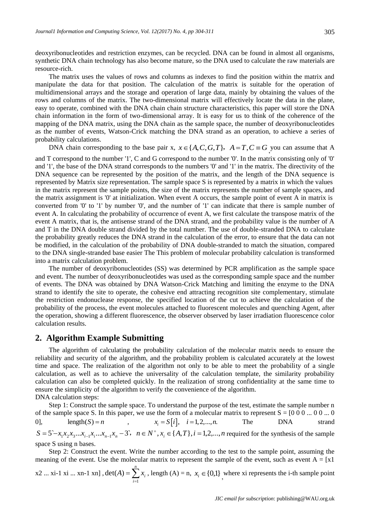deoxyribonucleotides and restriction enzymes, can be recycled. DNA can be found in almost all organisms, synthetic DNA chain technology has also become mature, so the DNA used to calculate the raw materials are resource-rich.

The matrix uses the values of rows and columns as indexes to find the position within the matrix and manipulate the data for that position. The calculation of the matrix is suitable for the operation of multidimensional arrays and the storage and operation of large data, mainly by obtaining the values of the rows and columns of the matrix. The two-dimensional matrix will effectively locate the data in the plane, easy to operate, combined with the DNA chain chain structure characteristics, this paper will store the DNA chain information in the form of two-dimensional array. It is easy for us to think of the coherence of the mapping of the DNA matrix, using the DNA chain as the sample space, the number of deoxyribonucleotides as the number of events, Watson-Crick matching the DNA strand as an operation, to achieve a series of probability calculations.

DNA chain corresponding to the base pair x,  $x \in \{A, C, G, T\}$ ,  $A = T, C \equiv G$  you can assume that A

and T correspond to the number '1', C and G correspond to the number '0'. In the matrix consisting only of '0' and '1', the base of the DNA strand corresponds to the numbers '0' and '1' in the matrix. The directivity of the DNA sequence can be represented by the position of the matrix, and the length of the DNA sequence is represented by Matrix size representation. The sample space S is represented by a matrix in which the values in the matrix represent the sample points, the size of the matrix represents the number of sample spaces, and the matrix assignment is '0' at initialization. When event A occurs, the sample point of event A in matrix is converted from '0' to '1' by number '0', and the number of '1' can indicate that there is sample number of event A. In calculating the probability of occurrence of event A, we first calculate the transpose matrix of the event A matrix, that is, the antisense strand of the DNA strand, and the probability value is the number of A and T in the DNA double strand divided by the total number. The use of double-stranded DNA to calculate the probability greatly reduces the DNA strand in the calculation of the error, to ensure that the data can not be modified, in the calculation of the probability of DNA double-stranded to match the situation, compared to the DNA single-stranded base easier The This problem of molecular probability calculation is transformed into a matrix calculation problem.

The number of deoxyribonucleotides (SS) was determined by PCR amplification as the sample space and event. The number of deoxyribonucleotides was used as the corresponding sample space and the number of events. The DNA was obtained by DNA Watson-Crick Matching and limiting the enzyme to the DNA strand to identify the site to operate, the cohesive end attracting recognition site complementary, stimulate the restriction endonuclease response, the specified location of the cut to achieve the calculation of the probability of the process, the event molecules attached to fluorescent molecules and quenching Agent, after the operation, showing a different fluorescence, the observer observed by laser irradiation fluorescence color calculation results.

## **2. Algorithm Example Submitting**

The algorithm of calculating the probability calculation of the molecular matrix needs to ensure the reliability and security of the algorithm, and the probability problem is calculated accurately at the lowest time and space. The realization of the algorithm not only to be able to meet the probability of a single calculation, as well as to achieve the universality of the calculation template, the similarity probability calculation can also be completed quickly. In the realization of strong confidentiality at the same time to ensure the simplicity of the algorithm to verify the convenience of the algorithm. DNA calculation steps:

Step 1: Construct the sample space. To understand the purpose of the test, estimate the sample number n of the sample space S. In this paper, we use the form of a molecular matrix to represent  $S = [0\ 0\ 0\ ...\ 0\ 0\ ...$ 0], length(*S*) = *n* ,  $x_i = S[i], i = 1, 2, ..., n$ . The DNA strand  $S = 5 - x_1 x_2 x_3 ... x_{i-1} x_i ... x_{n-1} x_n - 3$ ,  $n \in N^+$ ,  $x_i \in \{A, T\}$ ,  $i = 1, 2, ..., n$  required for the synthesis of the sample space S using n bases.

Step 2: Construct the event. Write the number according to the test to the sample point, assuming the meaning of the event. Use the molecular matrix to represent the sample of the event, such as event  $A = \lfloor x \rfloor$ 

x2 ... xi-1 xi ... xn-1 xn],  $det(A) = \sum_{i=1}^{n}$ = *n i*  $A) = \sum x_i$ 1  $det(A) = \sum_i x_i$ , length (A) = n,  $x_i \in \{0,1\}$ , where xi represents the i-th sample point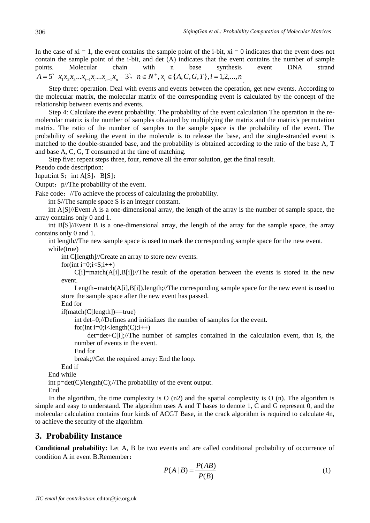In the case of  $xi = 1$ , the event contains the sample point of the i-bit,  $xi = 0$  indicates that the event does not contain the sample point of the i-bit, and det (A) indicates that the event contains the number of sample points. Molecular chain with n base synthesis event DNA strand  $A = 5 - x_1 x_2 x_3 ... x_{i-1} x_i ... x_{n-1} x_n - 3$ ,  $n \in N^+, x_i \in \{A, C, G, T\}, i = 1, 2, ..., n$ 

Step three: operation. Deal with events and events between the operation, get new events. According to the molecular matrix, the molecular matrix of the corresponding event is calculated by the concept of the relationship between events and events.

Step 4: Calculate the event probability. The probability of the event calculation The operation in the remolecular matrix is the number of samples obtained by multiplying the matrix and the matrix's permutation matrix. The ratio of the number of samples to the sample space is the probability of the event. The probability of seeking the event in the molecule is to release the base, and the single-stranded event is matched to the double-stranded base, and the probability is obtained according to the ratio of the base A, T and base A, C, G, T consumed at the time of matching.

Step five: repeat steps three, four, remove all the error solution, get the final result.

Pseudo code description:

Input: int  $S$ ; int  $A[S]$ ,  $B[S]$ ;

Output:  $p$ //The probability of the event.

Fake code: //To achieve the process of calculating the probability.

int S//The sample space S is an integer constant.

int A[S]//Event A is a one-dimensional array, the length of the array is the number of sample space, the array contains only 0 and 1.

int B[S]//Event B is a one-dimensional array, the length of the array for the sample space, the array contains only 0 and 1.

int length//The new sample space is used to mark the corresponding sample space for the new event. while(true)

int C[length]//Create an array to store new events.

for(int i=0;i< $S$ ;i++)

 $C[i] = match(A[i],B[i])/$ The result of the operation between the events is stored in the new event.

Length=match(A[i],B[i]).length;//The corresponding sample space for the new event is used to store the sample space after the new event has passed.

End for

if(match(C[length])==true)

int det=0;//Defines and initializes the number of samples for the event.

for(int i=0;i<length(C);i++)

 $det=det+C[i]/The$  number of samples contained in the calculation event, that is, the number of events in the event.

End for

break;//Get the required array: End the loop.

End if

End while

int  $p = det(C)/length(C)/The$  probability of the event output.

End

In the algorithm, the time complexity is  $O(n^2)$  and the spatial complexity is  $O(n)$ . The algorithm is simple and easy to understand. The algorithm uses A and T bases to denote 1, C and G represent 0, and the molecular calculation contains four kinds of ACGT Base, in the crack algorithm is required to calculate 4n, to achieve the security of the algorithm.

# **3. Probability Instance**

**Conditional probability:** Let A, B be two events and are called conditional probability of occurrence of condition A in event B.Remember:

$$
P(A \mid B) = \frac{P(AB)}{P(B)}\tag{1}
$$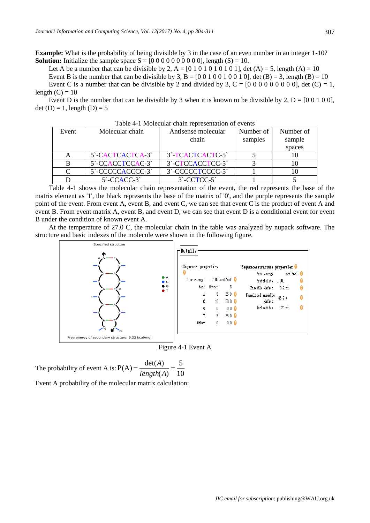**Example:** What is the probability of being divisible by 3 in the case of an even number in an integer 1-10? **Solution:** Initialize the sample space  $S = [0\ 0\ 0\ 0\ 0\ 0\ 0\ 0\ 0]$ , length  $(S) = 10$ .

Let A be a number that can be divisible by 2, A =  $[0 1 0 1 0 1 0 1 0 1 0 1]$ , det  $(A) = 5$ , length  $(A) = 10$ Event B is the number that can be divisible by 3, B =  $[0\ 0\ 1\ 0\ 0\ 1\ 0\ 0\ 1\ 0]$ , det  $(B) = 3$ , length  $(B) = 10$ Event C is a number that can be divisible by 2 and divided by 3,  $C = [0\ 0\ 0\ 0\ 0\ 0\ 0\ 0]$ , det  $(C) = 1$ , length  $(C) = 10$ 

Event D is the number that can be divisible by 3 when it is known to be divisible by 2,  $D = [0 0 1 0 0]$ , det (D) = 1, length (D) = 5

| Event | Molecular chain                          | Antisense molecular         | Number of | Number of |
|-------|------------------------------------------|-----------------------------|-----------|-----------|
|       |                                          | chain                       | samples   | sample    |
|       |                                          |                             |           | spaces    |
|       | 5 <sup>-</sup> CACTCACTCA-3 <sup>-</sup> | 3 <sup>-</sup> TCACTCACTC-5 |           |           |
|       | 5 <sup>-</sup> CCACCTCCAC-3 <sup>-</sup> | 3`-CTCCACCTCC-5`            |           |           |
|       | 5 - CCCCCACCCC - 3                       | 3`-CCCCCTCCCC-5`            |           |           |
|       | $5 - CCACC-3$                            | $3$ -CCTCC-5                |           |           |

Table 4-1 Molecular chain representation of events

Table 4-1 shows the molecular chain representation of the event, the red represents the base of the matrix element as '1', the black represents the base of the matrix of '0', and the purple represents the sample point of the event. From event A, event B, and event C, we can see that event C is the product of event A and event B. From event matrix A, event B, and event D, we can see that event D is a conditional event for event B under the condition of known event A.

At the temperature of 27.0 C, the molecular chain in the table was analyzed by nupack software. The structure and basic indexes of the molecule were shown in the following figure.



Figure 4-1 Event A

The probability of event A is:  $P(A) = \frac{2\epsilon_1 I}{length(A)} = \frac{1}{10}$ Event A probability of the molecular matrix calculation: 5  $(A)$  $P(A) = \frac{\det(A)}{1 - \frac{1}{2}}$ *length A A*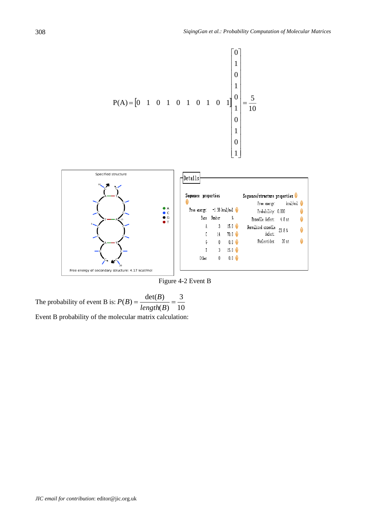

Figure 4-2 Event B

The probability of event B is:  $P(B) = \frac{acc(B)}{length(B)} = \frac{5}{10}$ 3  $(B)$  $(B) = \frac{\det(B)}{1-\det(B)}$ *length B*  $P(B) = \frac{\det(B)}{B}$ Event B probability of the molecular matrix calculation: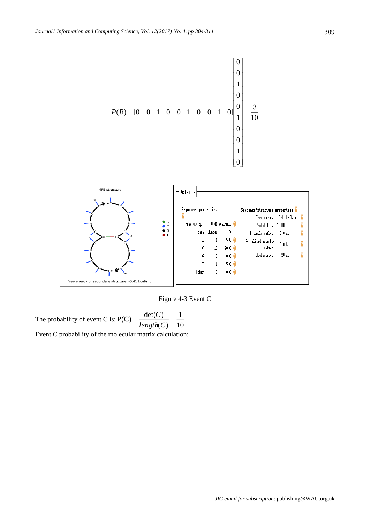



Figure 4-3 Event C

The probability of event C is:  $P(C) = \frac{ar(c)}{length(C)} = \frac{1}{10}$ Event C probability of the molecular matrix calculation: 1  $(C)$  $P(C) = \frac{\det(C)}{1-\cos C} =$ *length C C*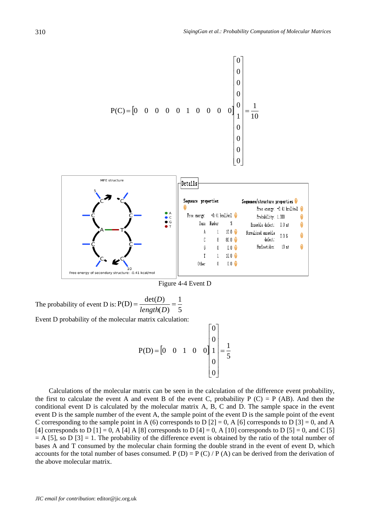

Figure 4-4 Event D

The probability of event D is:  $P(D) = \frac{dP(D)}{length(D)} = \frac{1}{5}$ Event D probability of the molecular matrix calculation: 1  $\left( D\right)$  $P(D) = \frac{\det(D)}{1-\frac{1}{2}}$ *length D D*

$$
P(D) = \begin{bmatrix} 0 & 0 & 1 & 0 & 0 \end{bmatrix} \begin{bmatrix} 0 \\ 0 \\ 1 \\ 0 \\ 0 \end{bmatrix} = \frac{1}{5}
$$

Calculations of the molecular matrix can be seen in the calculation of the difference event probability, the first to calculate the event A and event B of the event C, probability P  $(C) = P$  (AB). And then the conditional event D is calculated by the molecular matrix A, B, C and D. The sample space in the event event D is the sample number of the event A, the sample point of the event D is the sample point of the event C corresponding to the sample point in A (6) corresponds to D  $[2] = 0$ , A  $[6]$  corresponds to D  $[3] = 0$ , and A [4] corresponds to D [1] = 0, A [4] A [8] corresponds to D [4] = 0, A [10] corresponds to D [5] = 0, and C [5]  $= A [5]$ , so D  $[3] = 1$ . The probability of the difference event is obtained by the ratio of the total number of bases A and T consumed by the molecular chain forming the double strand in the event of event D, which accounts for the total number of bases consumed. P (D) = P (C) / P (A) can be derived from the derivation of the above molecular matrix.